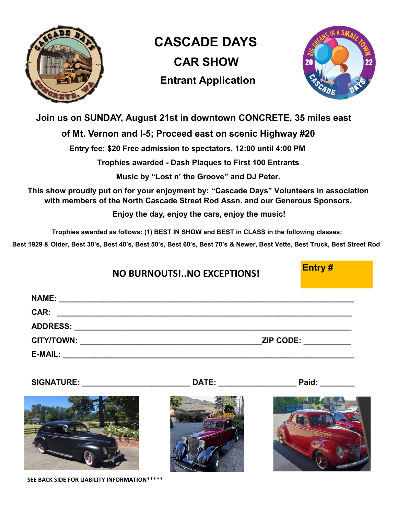

 **CASCADE DAYS CAR SHOW Entrant Application**



## **Join us on SUNDAY, August 21st in downtown CONCRETE, 35 miles east**

## **of Mt. Vernon and I-5; Proceed east on scenic Highway #20**

 **Entry fee: \$20 Free admission to spectators, 12:00 until 4:00 PM**

**Trophies awarded - Dash Plaques to First 100 Entrants** 

**Music by "Lost n' the Groove" and DJ Peter.**

**This show proudly put on for your enjoyment by: "Cascade Days" Volunteers in association with members of the North Cascade Street Rod Assn. and our Generous Sponsors.** 

**Enjoy the day, enjoy the cars, enjoy the music!**

**Trophies awarded as follows: (1) BEST IN SHOW and BEST in CLASS in the following classes:** 

**Best 1929 & Older, Best 30's, Best 40's, Best 50's, Best 60's, Best 70's & Newer, Best Vette, Best Truck, Best Street Rod**

| NO BURNOUTS! NO EXCEPTIONS!        | Entry#              |
|------------------------------------|---------------------|
|                                    |                     |
|                                    | ZIP CODE: _________ |
|                                    |                     |
| SIGNATURE: DATE: DATE: Paid: Paid: |                     |
|                                    |                     |

**SEE BACK SIDE FOR LIABILITY INFORMATION\*\*\*\*\***